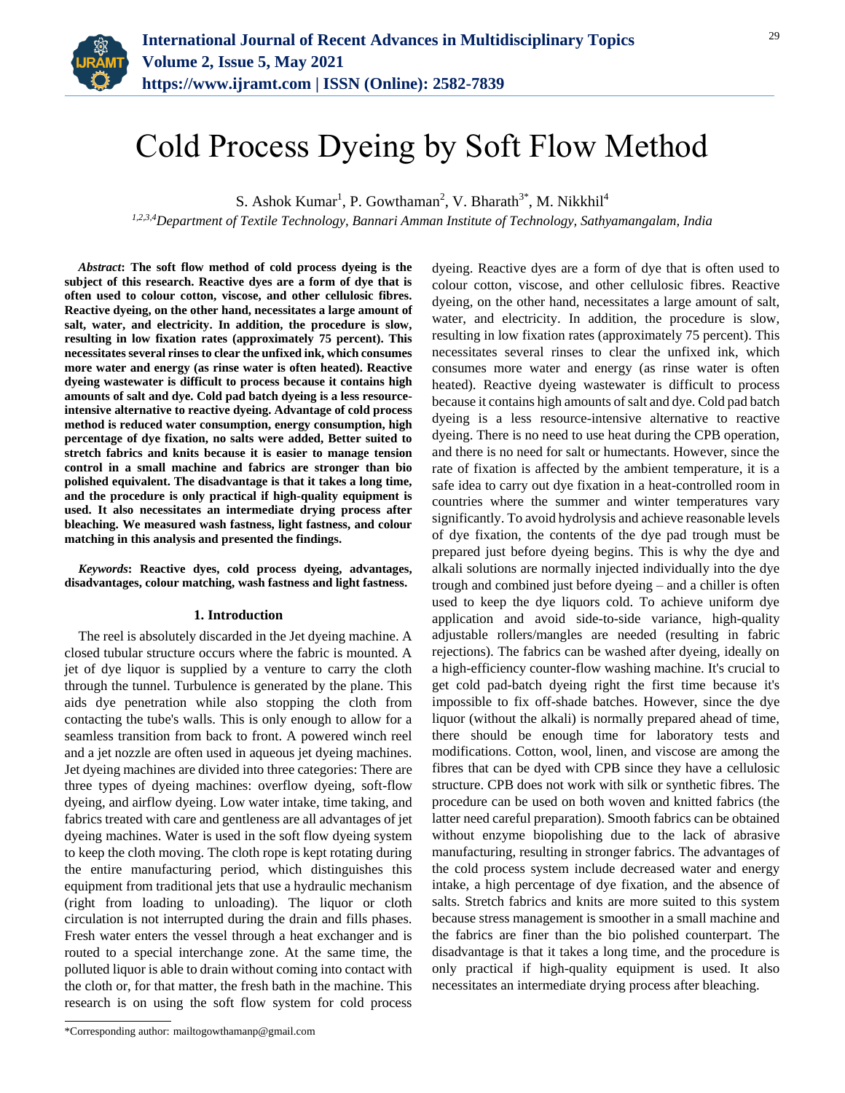

# Cold Process Dyeing by Soft Flow Method

S. Ashok Kumar<sup>1</sup>, P. Gowthaman<sup>2</sup>, V. Bharath<sup>3\*</sup>, M. Nikkhil<sup>4</sup>

*1,2,3,4Department of Textile Technology, Bannari Amman Institute of Technology, Sathyamangalam, India*

*Abstract***: The soft flow method of cold process dyeing is the subject of this research. Reactive dyes are a form of dye that is often used to colour cotton, viscose, and other cellulosic fibres. Reactive dyeing, on the other hand, necessitates a large amount of salt, water, and electricity. In addition, the procedure is slow, resulting in low fixation rates (approximately 75 percent). This necessitates several rinses to clear the unfixed ink, which consumes more water and energy (as rinse water is often heated). Reactive dyeing wastewater is difficult to process because it contains high amounts of salt and dye. Cold pad batch dyeing is a less resourceintensive alternative to reactive dyeing. Advantage of cold process method is reduced water consumption, energy consumption, high percentage of dye fixation, no salts were added, Better suited to stretch fabrics and knits because it is easier to manage tension control in a small machine and fabrics are stronger than bio polished equivalent. The disadvantage is that it takes a long time, and the procedure is only practical if high-quality equipment is used. It also necessitates an intermediate drying process after bleaching. We measured wash fastness, light fastness, and colour matching in this analysis and presented the findings.**

*Keywords***: Reactive dyes, cold process dyeing, advantages, disadvantages, colour matching, wash fastness and light fastness.**

#### **1. Introduction**

The reel is absolutely discarded in the Jet dyeing machine. A closed tubular structure occurs where the fabric is mounted. A jet of dye liquor is supplied by a venture to carry the cloth through the tunnel. Turbulence is generated by the plane. This aids dye penetration while also stopping the cloth from contacting the tube's walls. This is only enough to allow for a seamless transition from back to front. A powered winch reel and a jet nozzle are often used in aqueous jet dyeing machines. Jet dyeing machines are divided into three categories: There are three types of dyeing machines: overflow dyeing, soft-flow dyeing, and airflow dyeing. Low water intake, time taking, and fabrics treated with care and gentleness are all advantages of jet dyeing machines. Water is used in the soft flow dyeing system to keep the cloth moving. The cloth rope is kept rotating during the entire manufacturing period, which distinguishes this equipment from traditional jets that use a hydraulic mechanism (right from loading to unloading). The liquor or cloth circulation is not interrupted during the drain and fills phases. Fresh water enters the vessel through a heat exchanger and is routed to a special interchange zone. At the same time, the polluted liquor is able to drain without coming into contact with the cloth or, for that matter, the fresh bath in the machine. This research is on using the soft flow system for cold process

dyeing. Reactive dyes are a form of dye that is often used to colour cotton, viscose, and other cellulosic fibres. Reactive dyeing, on the other hand, necessitates a large amount of salt, water, and electricity. In addition, the procedure is slow, resulting in low fixation rates (approximately 75 percent). This necessitates several rinses to clear the unfixed ink, which consumes more water and energy (as rinse water is often heated). Reactive dyeing wastewater is difficult to process because it contains high amounts of salt and dye. Cold pad batch dyeing is a less resource-intensive alternative to reactive dyeing. There is no need to use heat during the CPB operation, and there is no need for salt or humectants. However, since the rate of fixation is affected by the ambient temperature, it is a safe idea to carry out dye fixation in a heat-controlled room in countries where the summer and winter temperatures vary significantly. To avoid hydrolysis and achieve reasonable levels of dye fixation, the contents of the dye pad trough must be prepared just before dyeing begins. This is why the dye and alkali solutions are normally injected individually into the dye trough and combined just before dyeing – and a chiller is often used to keep the dye liquors cold. To achieve uniform dye application and avoid side-to-side variance, high-quality adjustable rollers/mangles are needed (resulting in fabric rejections). The fabrics can be washed after dyeing, ideally on a high-efficiency counter-flow washing machine. It's crucial to get cold pad-batch dyeing right the first time because it's impossible to fix off-shade batches. However, since the dye liquor (without the alkali) is normally prepared ahead of time, there should be enough time for laboratory tests and modifications. Cotton, wool, linen, and viscose are among the fibres that can be dyed with CPB since they have a cellulosic structure. CPB does not work with silk or synthetic fibres. The procedure can be used on both woven and knitted fabrics (the latter need careful preparation). Smooth fabrics can be obtained without enzyme biopolishing due to the lack of abrasive manufacturing, resulting in stronger fabrics. The advantages of the cold process system include decreased water and energy intake, a high percentage of dye fixation, and the absence of salts. Stretch fabrics and knits are more suited to this system because stress management is smoother in a small machine and the fabrics are finer than the bio polished counterpart. The disadvantage is that it takes a long time, and the procedure is only practical if high-quality equipment is used. It also necessitates an intermediate drying process after bleaching.

<sup>\*</sup>Corresponding author: mailtogowthamanp@gmail.com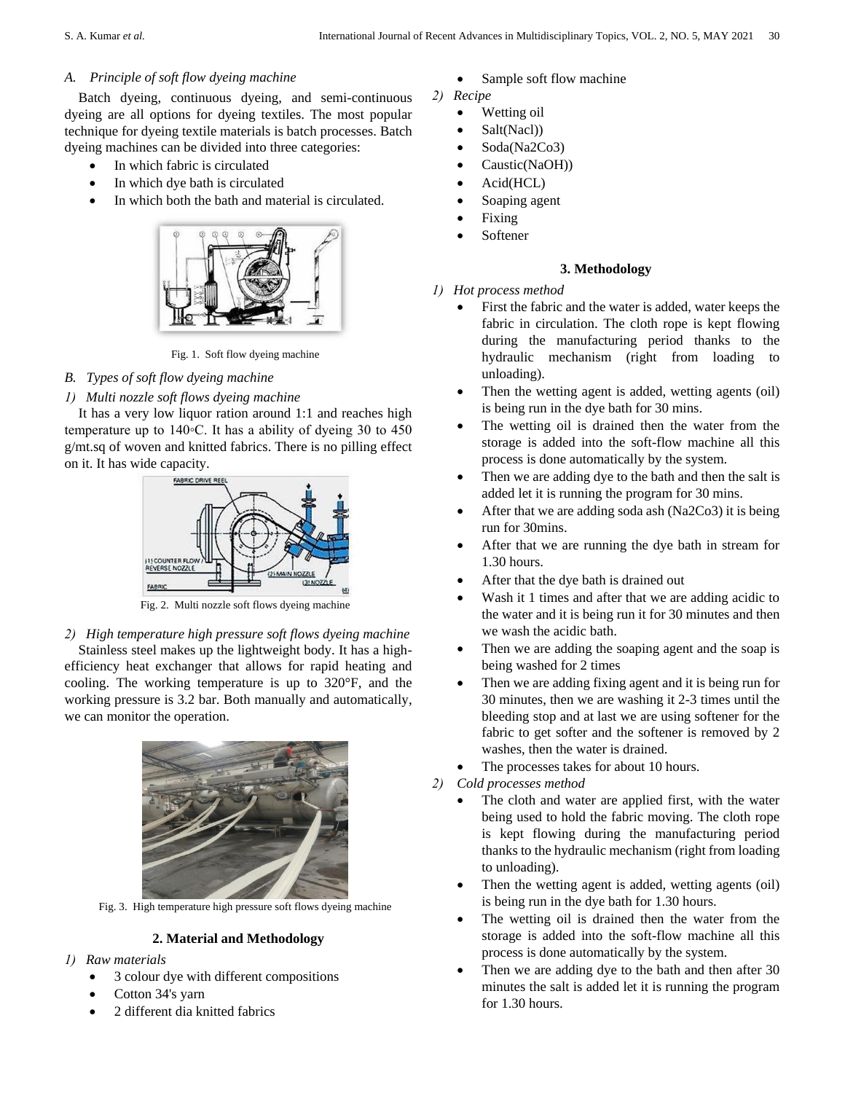## *A. Principle of soft flow dyeing machine*

Batch dyeing, continuous dyeing, and semi-continuous dyeing are all options for dyeing textiles. The most popular technique for dyeing textile materials is batch processes. Batch dyeing machines can be divided into three categories:

- In which fabric is circulated
- In which dye bath is circulated
- In which both the bath and material is circulated.



Fig. 1. Soft flow dyeing machine

# *B. Types of soft flow dyeing machine*

*1) Multi nozzle soft flows dyeing machine*

It has a very low liquor ration around 1:1 and reaches high temperature up to 140◦C. It has a ability of dyeing 30 to 450 g/mt.sq of woven and knitted fabrics. There is no pilling effect on it. It has wide capacity.



Fig. 2. Multi nozzle soft flows dyeing machine

*2) High temperature high pressure soft flows dyeing machine* Stainless steel makes up the lightweight body. It has a highefficiency heat exchanger that allows for rapid heating and cooling. The working temperature is up to 320°F, and the working pressure is 3.2 bar. Both manually and automatically, we can monitor the operation.



Fig. 3. High temperature high pressure soft flows dyeing machine

## **2. Material and Methodology**

- *1) Raw materials* 
	- 3 colour dye with different compositions
	- Cotton 34's yarn
	- 2 different dia knitted fabrics
- Sample soft flow machine
- *2) Recipe* 
	- Wetting oil
	- Salt(Nacl))
	- Soda(Na2Co3)
	- Caustic(NaOH))
	- Acid(HCL)
	- Soaping agent
	- Fixing
	- Softener

# **3. Methodology**

- *1) Hot process method* 
	- First the fabric and the water is added, water keeps the fabric in circulation. The cloth rope is kept flowing during the manufacturing period thanks to the hydraulic mechanism (right from loading to unloading).
	- Then the wetting agent is added, wetting agents (oil) is being run in the dye bath for 30 mins.
	- The wetting oil is drained then the water from the storage is added into the soft-flow machine all this process is done automatically by the system.
	- Then we are adding dye to the bath and then the salt is added let it is running the program for 30 mins.
	- After that we are adding soda ash (Na2Co3) it is being run for 30mins.
	- After that we are running the dye bath in stream for 1.30 hours.
	- After that the dye bath is drained out
	- Wash it 1 times and after that we are adding acidic to the water and it is being run it for 30 minutes and then we wash the acidic bath.
	- Then we are adding the soaping agent and the soap is being washed for 2 times
	- Then we are adding fixing agent and it is being run for 30 minutes, then we are washing it 2-3 times until the bleeding stop and at last we are using softener for the fabric to get softer and the softener is removed by 2 washes, then the water is drained.
	- The processes takes for about 10 hours.
- *2) Cold processes method* 
	- The cloth and water are applied first, with the water being used to hold the fabric moving. The cloth rope is kept flowing during the manufacturing period thanks to the hydraulic mechanism (right from loading to unloading).
	- Then the wetting agent is added, wetting agents (oil) is being run in the dye bath for 1.30 hours.
	- The wetting oil is drained then the water from the storage is added into the soft-flow machine all this process is done automatically by the system.
	- Then we are adding dye to the bath and then after 30 minutes the salt is added let it is running the program for 1.30 hours.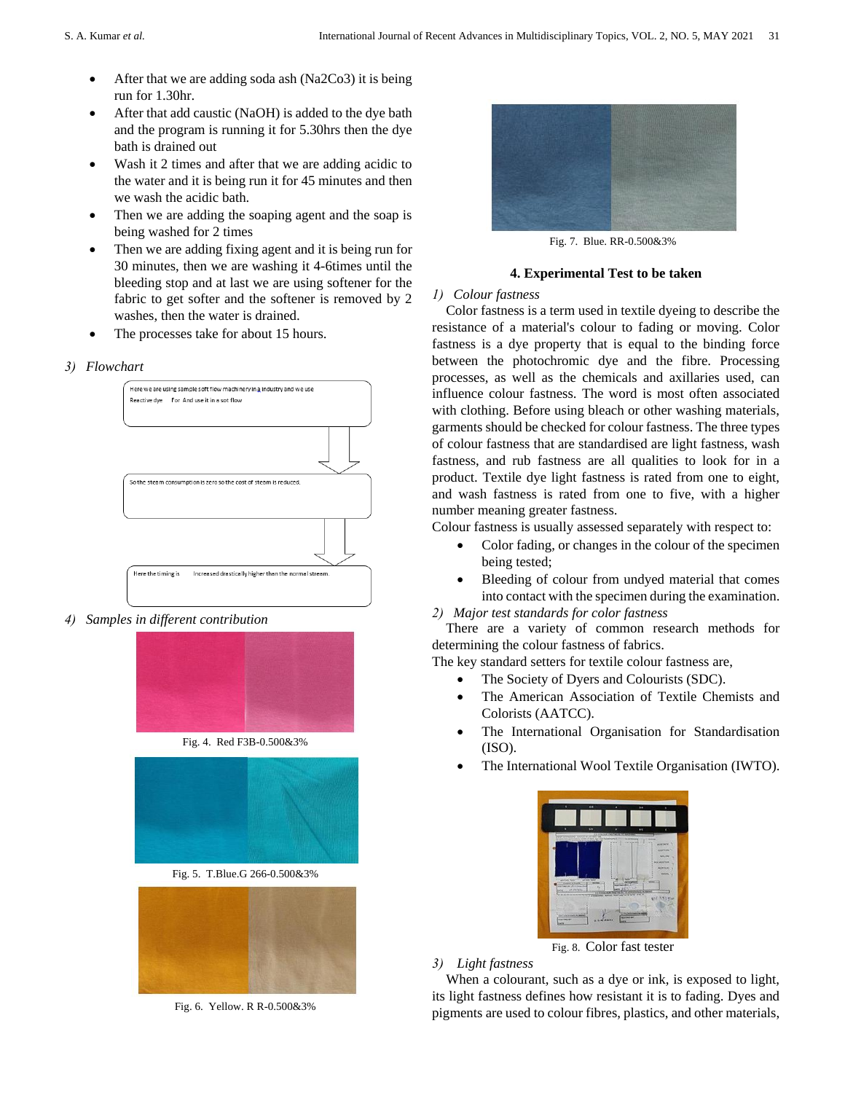- After that we are adding soda ash (Na2Co3) it is being run for 1.30hr.
- After that add caustic (NaOH) is added to the dye bath and the program is running it for 5.30hrs then the dye bath is drained out
- Wash it 2 times and after that we are adding acidic to the water and it is being run it for 45 minutes and then we wash the acidic bath.
- Then we are adding the soaping agent and the soap is being washed for 2 times
- Then we are adding fixing agent and it is being run for 30 minutes, then we are washing it 4-6times until the bleeding stop and at last we are using softener for the fabric to get softer and the softener is removed by 2 washes, then the water is drained.
- The processes take for about 15 hours.

### *3) Flowchart*



*4) Samples in different contribution*







Fig. 5. T.Blue.G 266-0.500&3%



Fig. 6. Yellow. R R-0.500&3%



Fig. 7. Blue. RR-0.500&3%

## **4. Experimental Test to be taken**

### *1) Colour fastness*

Color fastness is a term used in textile dyeing to describe the resistance of a material's colour to fading or moving. Color fastness is a dye property that is equal to the binding force between the photochromic dye and the fibre. Processing processes, as well as the chemicals and axillaries used, can influence colour fastness. The word is most often associated with clothing. Before using bleach or other washing materials, garments should be checked for colour fastness. The three types of colour fastness that are standardised are light fastness, wash fastness, and rub fastness are all qualities to look for in a product. Textile dye light fastness is rated from one to eight, and wash fastness is rated from one to five, with a higher number meaning greater fastness.

Colour fastness is usually assessed separately with respect to:

- Color fading, or changes in the colour of the specimen being tested;
- Bleeding of colour from undyed material that comes into contact with the specimen during the examination.

*2) Major test standards for color fastness* 

There are a variety of common research methods for determining the colour fastness of fabrics.

The key standard setters for textile colour fastness are,

- The Society of Dyers and Colourists (SDC).
- The American Association of Textile Chemists and Colorists (AATCC).
- The International Organisation for Standardisation (ISO).
- The International Wool Textile Organisation (IWTO).



Fig. 8. Color fast tester

## *3) Light fastness*

When a colourant, such as a dye or ink, is exposed to light, its light fastness defines how resistant it is to fading. Dyes and pigments are used to colour fibres, plastics, and other materials,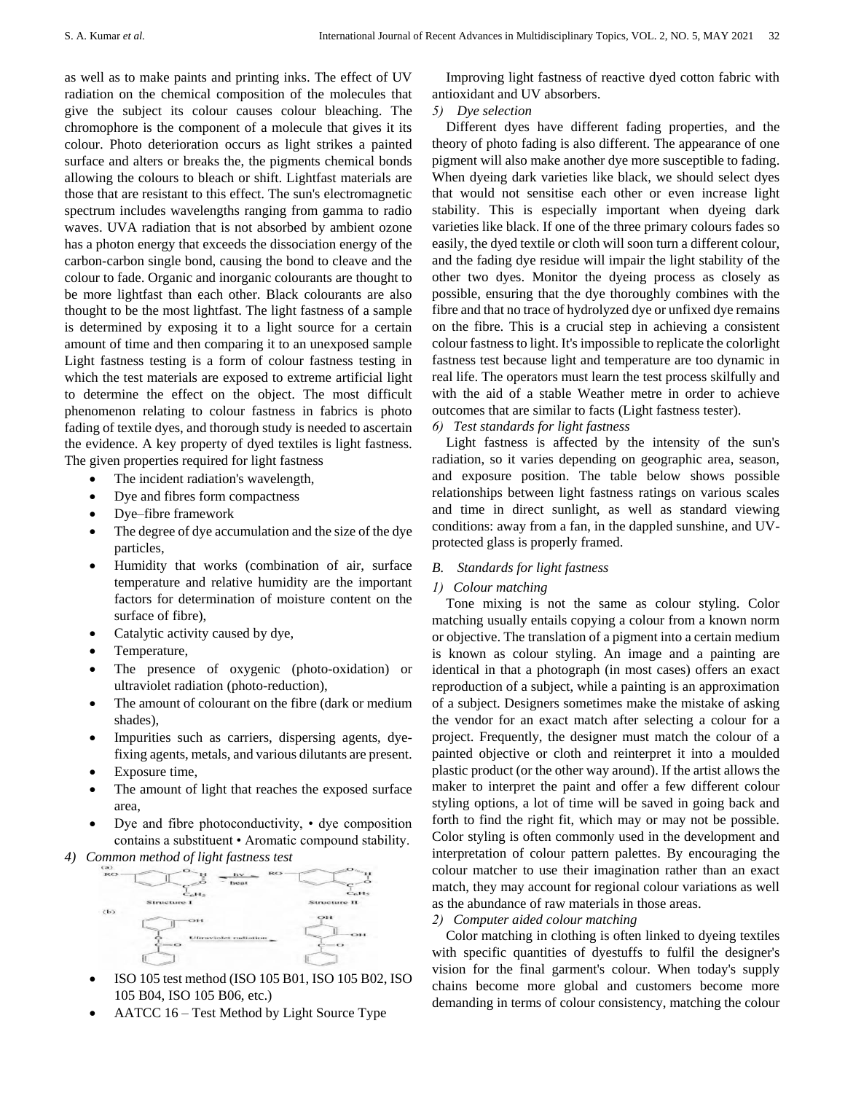as well as to make paints and printing inks. The effect of UV radiation on the chemical composition of the molecules that give the subject its colour causes colour bleaching. The chromophore is the component of a molecule that gives it its colour. Photo deterioration occurs as light strikes a painted surface and alters or breaks the, the pigments chemical bonds allowing the colours to bleach or shift. Lightfast materials are those that are resistant to this effect. The sun's electromagnetic spectrum includes wavelengths ranging from gamma to radio waves. UVA radiation that is not absorbed by ambient ozone has a photon energy that exceeds the dissociation energy of the carbon-carbon single bond, causing the bond to cleave and the colour to fade. Organic and inorganic colourants are thought to be more lightfast than each other. Black colourants are also thought to be the most lightfast. The light fastness of a sample is determined by exposing it to a light source for a certain amount of time and then comparing it to an unexposed sample Light fastness testing is a form of colour fastness testing in which the test materials are exposed to extreme artificial light to determine the effect on the object. The most difficult phenomenon relating to colour fastness in fabrics is photo fading of textile dyes, and thorough study is needed to ascertain the evidence. A key property of dyed textiles is light fastness. The given properties required for light fastness

- The incident radiation's wavelength,
- Dye and fibres form compactness
- Dye–fibre framework
- The degree of dye accumulation and the size of the dye particles,
- Humidity that works (combination of air, surface temperature and relative humidity are the important factors for determination of moisture content on the surface of fibre),
- Catalytic activity caused by dye,
- Temperature,
- The presence of oxygenic (photo-oxidation) or ultraviolet radiation (photo-reduction),
- The amount of colourant on the fibre (dark or medium shades),
- Impurities such as carriers, dispersing agents, dyefixing agents, metals, and various dilutants are present.
- Exposure time,
- The amount of light that reaches the exposed surface area,
- Dye and fibre photoconductivity, dye composition contains a substituent • Aromatic compound stability.
- 



- ISO 105 test method (ISO 105 B01, ISO 105 B02, ISO 105 B04, ISO 105 B06, etc.)
- AATCC 16 Test Method by Light Source Type

Improving light fastness of reactive dyed cotton fabric with antioxidant and UV absorbers.

#### *5) Dye selection*

Different dyes have different fading properties, and the theory of photo fading is also different. The appearance of one pigment will also make another dye more susceptible to fading. When dyeing dark varieties like black, we should select dyes that would not sensitise each other or even increase light stability. This is especially important when dyeing dark varieties like black. If one of the three primary colours fades so easily, the dyed textile or cloth will soon turn a different colour, and the fading dye residue will impair the light stability of the other two dyes. Monitor the dyeing process as closely as possible, ensuring that the dye thoroughly combines with the fibre and that no trace of hydrolyzed dye or unfixed dye remains on the fibre. This is a crucial step in achieving a consistent colour fastness to light. It's impossible to replicate the colorlight fastness test because light and temperature are too dynamic in real life. The operators must learn the test process skilfully and with the aid of a stable Weather metre in order to achieve outcomes that are similar to facts (Light fastness tester).

*6) Test standards for light fastness* 

Light fastness is affected by the intensity of the sun's radiation, so it varies depending on geographic area, season, and exposure position. The table below shows possible relationships between light fastness ratings on various scales and time in direct sunlight, as well as standard viewing conditions: away from a fan, in the dappled sunshine, and UVprotected glass is properly framed.

#### *B. Standards for light fastness*

#### *1) Colour matching*

Tone mixing is not the same as colour styling. Color matching usually entails copying a colour from a known norm or objective. The translation of a pigment into a certain medium is known as colour styling. An image and a painting are identical in that a photograph (in most cases) offers an exact reproduction of a subject, while a painting is an approximation of a subject. Designers sometimes make the mistake of asking the vendor for an exact match after selecting a colour for a project. Frequently, the designer must match the colour of a painted objective or cloth and reinterpret it into a moulded plastic product (or the other way around). If the artist allows the maker to interpret the paint and offer a few different colour styling options, a lot of time will be saved in going back and forth to find the right fit, which may or may not be possible. Color styling is often commonly used in the development and interpretation of colour pattern palettes. By encouraging the colour matcher to use their imagination rather than an exact match, they may account for regional colour variations as well as the abundance of raw materials in those areas.

#### *2) Computer aided colour matching*

Color matching in clothing is often linked to dyeing textiles with specific quantities of dyestuffs to fulfil the designer's vision for the final garment's colour. When today's supply chains become more global and customers become more demanding in terms of colour consistency, matching the colour